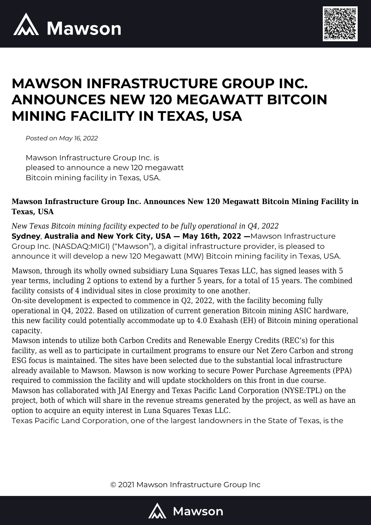



# **MAWSON INFRASTRUCTURE GROUP INC. ANNOUNCES NEW 120 MEGAWATT BITCOIN MINING FACILITY IN TEXAS, USA**

*Posted on May 16, 2022*

Mawson Infrastructure Group Inc. is pleased to announce a new 120 megawatt Bitcoin mining facility in Texas, USA.

## **Mawson Infrastructure Group Inc. Announces New 120 Megawatt Bitcoin Mining Facility in Texas, USA**

*New Texas Bitcoin mining facility expected to be fully operational in Q4, 2022* **Sydney**, **Australia and New York City, USA — May 16th, 2022 —**Mawson Infrastructure Group Inc. (NASDAQ:MIGI) ("Mawson"), a digital infrastructure provider, is pleased to announce it will develop a new 120 Megawatt (MW) Bitcoin mining facility in Texas, USA.

Mawson, through its wholly owned subsidiary Luna Squares Texas LLC, has signed leases with 5 year terms, including 2 options to extend by a further 5 years, for a total of 15 years. The combined facility consists of 4 individual sites in close proximity to one another.

On-site development is expected to commence in Q2, 2022, with the facility becoming fully operational in Q4, 2022. Based on utilization of current generation Bitcoin mining ASIC hardware, this new facility could potentially accommodate up to 4.0 Exahash (EH) of Bitcoin mining operational capacity.

Mawson intends to utilize both Carbon Credits and Renewable Energy Credits (REC's) for this facility, as well as to participate in curtailment programs to ensure our Net Zero Carbon and strong ESG focus is maintained. The sites have been selected due to the substantial local infrastructure already available to Mawson. Mawson is now working to secure Power Purchase Agreements (PPA) required to commission the facility and will update stockholders on this front in due course. Mawson has collaborated with JAI Energy and Texas Pacific Land Corporation (NYSE:TPL) on the project, both of which will share in the revenue streams generated by the project, as well as have an option to acquire an equity interest in Luna Squares Texas LLC.

Texas Pacific Land Corporation, one of the largest landowners in the State of Texas, is the

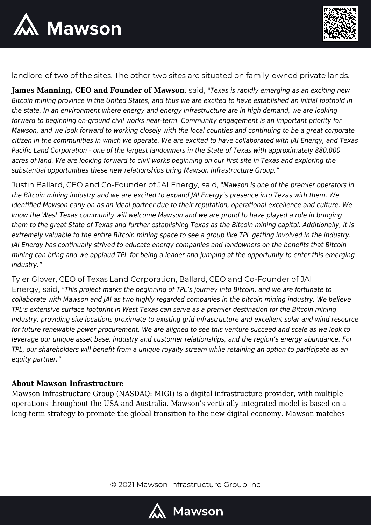



landlord of two of the sites. The other two sites are situated on family-owned private lands.

**James Manning, CEO and Founder of Mawson***,* said, "Texas is rapidly emerging as an exciting new Bitcoin mining province in the United States, and thus we are excited to have established an initial foothold in the state. In an environment where energy and energy infrastructure are in high demand, we are looking forward to beginning on-ground civil works near-term. Community engagement is an important priority for Mawson, and we look forward to working closely with the local counties and continuing to be a great corporate citizen in the communities in which we operate. We are excited to have collaborated with JAI Energy, and Texas Pacific Land Corporation - one of the largest landowners in the State of Texas with approximately 880,000 acres of land. We are looking forward to civil works beginning on our first site in Texas and exploring the substantial opportunities these new relationships bring Mawson Infrastructure Group."

Justin Ballard, CEO and Co-Founder of JAI Energy*,* said, "Mawson is one of the premier operators in the Bitcoin mining industry and we are excited to expand JAI Energy's presence into Texas with them. We identified Mawson early on as an ideal partner due to their reputation, operational excellence and culture. We know the West Texas community will welcome Mawson and we are proud to have played a role in bringing them to the great State of Texas and further establishing Texas as the Bitcoin mining capital. Additionally, it is extremely valuable to the entire Bitcoin mining space to see a group like TPL getting involved in the industry. JAI Energy has continually strived to educate energy companies and landowners on the benefits that Bitcoin mining can bring and we applaud TPL for being a leader and jumping at the opportunity to enter this emerging industry."

Tyler Glover, CEO of Texas Land Corporation, Ballard, CEO and Co-Founder of JAI Energy*,* said, "This project marks the beginning of TPL's journey into Bitcoin, and we are fortunate to collaborate with Mawson and JAI as two highly regarded companies in the bitcoin mining industry. We believe TPL's extensive surface footprint in West Texas can serve as a premier destination for the Bitcoin mining industry, providing site locations proximate to existing grid infrastructure and excellent solar and wind resource for future renewable power procurement. We are aligned to see this venture succeed and scale as we look to leverage our unique asset base, industry and customer relationships, and the region's energy abundance. For TPL, our shareholders will benefit from a unique royalty stream while retaining an option to participate as an equity partner."

### **About Mawson Infrastructure**

Mawson Infrastructure Group (NASDAQ: MIGI) is a digital infrastructure provider, with multiple operations throughout the USA and Australia. Mawson's vertically integrated model is based on a long-term strategy to promote the global transition to the new digital economy. Mawson matches

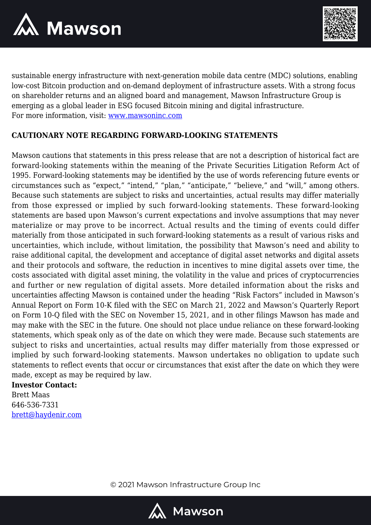



sustainable energy infrastructure with next-generation mobile data centre (MDC) solutions, enabling low-cost Bitcoin production and on-demand deployment of infrastructure assets. With a strong focus on shareholder returns and an aligned board and management, Mawson Infrastructure Group is emerging as a global leader in ESG focused Bitcoin mining and digital infrastructure. For more information, visit: [www.mawsoninc.com](http://www.mawsoninc.com)

## **CAUTIONARY NOTE REGARDING FORWARD-LOOKING STATEMENTS**

Mawson cautions that statements in this press release that are not a description of historical fact are forward-looking statements within the meaning of the Private Securities Litigation Reform Act of 1995. Forward-looking statements may be identified by the use of words referencing future events or circumstances such as "expect," "intend," "plan," "anticipate," "believe," and "will," among others. Because such statements are subject to risks and uncertainties, actual results may differ materially from those expressed or implied by such forward-looking statements. These forward-looking statements are based upon Mawson's current expectations and involve assumptions that may never materialize or may prove to be incorrect. Actual results and the timing of events could differ materially from those anticipated in such forward-looking statements as a result of various risks and uncertainties, which include, without limitation, the possibility that Mawson's need and ability to raise additional capital, the development and acceptance of digital asset networks and digital assets and their protocols and software, the reduction in incentives to mine digital assets over time, the costs associated with digital asset mining, the volatility in the value and prices of cryptocurrencies and further or new regulation of digital assets. More detailed information about the risks and uncertainties affecting Mawson is contained under the heading "Risk Factors" included in Mawson's Annual Report on Form 10-K filed with the SEC on March 21, 2022 and Mawson's Quarterly Report on Form 10-Q filed with the SEC on November 15, 2021, and in other filings Mawson has made and may make with the SEC in the future. One should not place undue reliance on these forward-looking statements, which speak only as of the date on which they were made. Because such statements are subject to risks and uncertainties, actual results may differ materially from those expressed or implied by such forward-looking statements. Mawson undertakes no obligation to update such statements to reflect events that occur or circumstances that exist after the date on which they were made, except as may be required by law.

#### **Investor Contact:**

Brett Maas 646-536-7331 [brett@haydenir.com](mailto:brett@haydenir.com)